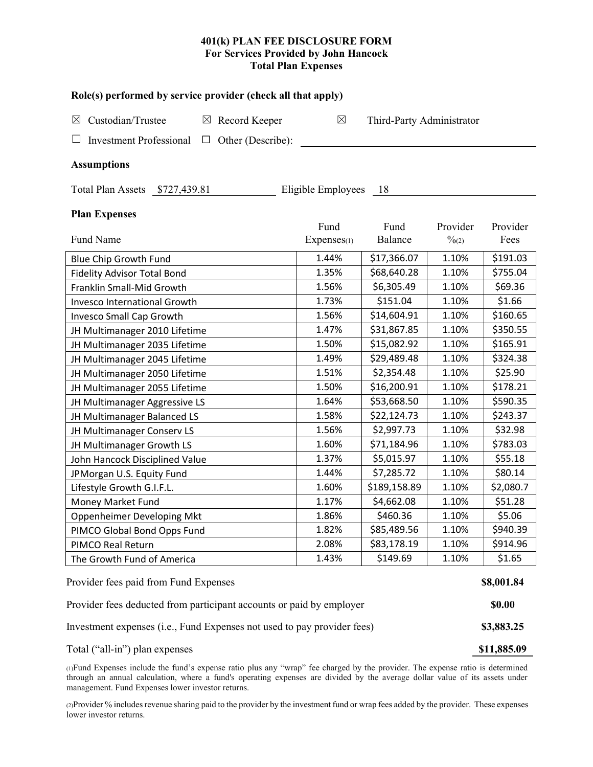## **401(k) PLAN FEE DISCLOSURE FORM For Services Provided by John Hancock Total Plan Expenses**

| Role(s) performed by service provider (check all that apply)            |                    |                           |                   |           |  |  |  |  |  |  |  |
|-------------------------------------------------------------------------|--------------------|---------------------------|-------------------|-----------|--|--|--|--|--|--|--|
| Custodian/Trustee<br>Record Keeper<br>$\boxtimes$<br>$\boxtimes$        | $\boxtimes$        | Third-Party Administrator |                   |           |  |  |  |  |  |  |  |
| Other (Describe):<br><b>Investment Professional</b><br>$\Box$           |                    |                           |                   |           |  |  |  |  |  |  |  |
| <b>Assumptions</b>                                                      |                    |                           |                   |           |  |  |  |  |  |  |  |
| Total Plan Assets \$727,439.81                                          | Eligible Employees | - 18                      |                   |           |  |  |  |  |  |  |  |
| <b>Plan Expenses</b>                                                    | Fund               | Fund                      | Provider          | Provider  |  |  |  |  |  |  |  |
| Fund Name                                                               | Expenses(1)        | Balance                   | $\frac{0}{2}$ (2) | Fees      |  |  |  |  |  |  |  |
| Blue Chip Growth Fund                                                   | 1.44%              | \$17,366.07               | 1.10%             | \$191.03  |  |  |  |  |  |  |  |
| <b>Fidelity Advisor Total Bond</b>                                      | 1.35%              | \$68,640.28               | 1.10%             | \$755.04  |  |  |  |  |  |  |  |
| Franklin Small-Mid Growth                                               | 1.56%              | \$6,305.49                | 1.10%             | \$69.36   |  |  |  |  |  |  |  |
| <b>Invesco International Growth</b>                                     | 1.73%              | \$151.04                  | 1.10%             | \$1.66    |  |  |  |  |  |  |  |
| Invesco Small Cap Growth                                                | 1.56%              | \$14,604.91               | 1.10%             | \$160.65  |  |  |  |  |  |  |  |
| JH Multimanager 2010 Lifetime                                           | 1.47%              | \$31,867.85               | 1.10%             | \$350.55  |  |  |  |  |  |  |  |
| JH Multimanager 2035 Lifetime                                           | 1.50%              | \$15,082.92               | 1.10%             | \$165.91  |  |  |  |  |  |  |  |
| JH Multimanager 2045 Lifetime                                           | 1.49%              | \$29,489.48               | 1.10%             | \$324.38  |  |  |  |  |  |  |  |
| JH Multimanager 2050 Lifetime                                           | 1.51%              | \$2,354.48                | 1.10%             | \$25.90   |  |  |  |  |  |  |  |
| JH Multimanager 2055 Lifetime                                           | 1.50%              | \$16,200.91               | 1.10%             | \$178.21  |  |  |  |  |  |  |  |
| JH Multimanager Aggressive LS                                           | 1.64%              | \$53,668.50               | 1.10%             | \$590.35  |  |  |  |  |  |  |  |
| JH Multimanager Balanced LS                                             | 1.58%              | \$22,124.73               | 1.10%             | \$243.37  |  |  |  |  |  |  |  |
| JH Multimanager Conserv LS                                              | 1.56%              | \$2,997.73                | 1.10%             | \$32.98   |  |  |  |  |  |  |  |
| JH Multimanager Growth LS                                               | 1.60%              | \$71,184.96               | 1.10%             | \$783.03  |  |  |  |  |  |  |  |
| John Hancock Disciplined Value                                          | 1.37%              | \$5,015.97                | 1.10%             | \$55.18   |  |  |  |  |  |  |  |
| JPMorgan U.S. Equity Fund                                               | 1.44%              | \$7,285.72                | 1.10%             | \$80.14   |  |  |  |  |  |  |  |
| Lifestyle Growth G.I.F.L.                                               | 1.60%              | \$189,158.89              | 1.10%             | \$2,080.7 |  |  |  |  |  |  |  |
| Money Market Fund                                                       | 1.17%              | \$4,662.08                | 1.10%             | \$51.28   |  |  |  |  |  |  |  |
| Oppenheimer Developing Mkt                                              | 1.86%              | \$460.36                  | 1.10%             | \$5.06    |  |  |  |  |  |  |  |
| PIMCO Global Bond Opps Fund                                             | 1.82%              | \$85,489.56               | 1.10%             | \$940.39  |  |  |  |  |  |  |  |
| PIMCO Real Return                                                       | 2.08%              | \$83,178.19               | 1.10%             | \$914.96  |  |  |  |  |  |  |  |
| The Growth Fund of America                                              | 1.43%              | \$149.69                  | 1.10%             | \$1.65    |  |  |  |  |  |  |  |
| Provider fees paid from Fund Expenses                                   |                    |                           |                   |           |  |  |  |  |  |  |  |
| Provider fees deducted from participant accounts or paid by employer    |                    |                           |                   |           |  |  |  |  |  |  |  |
| Investment expenses (i.e., Fund Expenses not used to pay provider fees) |                    |                           |                   |           |  |  |  |  |  |  |  |

Total ("all-in") plan expenses **\$11,885.09 \$11,885.09** 

(1)Fund Expenses include the fund's expense ratio plus any "wrap" fee charged by the provider. The expense ratio is determined through an annual calculation, where a fund's operating expenses are divided by the average dollar value of its assets under management. Fund Expenses lower investor returns.

(2)Provider % includes revenue sharing paid to the provider by the investment fund or wrap fees added by the provider. These expenses lower investor returns.